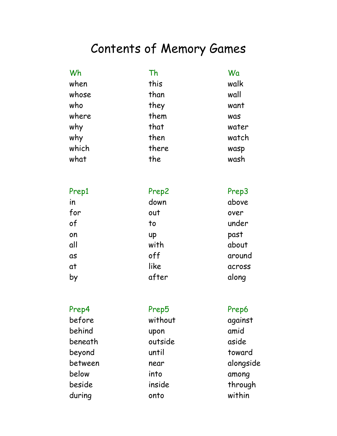#### Contents of Memory Games

| Wh    | Th    | Wa    |
|-------|-------|-------|
| when  | this  | walk  |
| whose | than  | wall  |
| who   | they  | want  |
| where | them  | was   |
| why   | that  | water |
| why   | then  | watch |
| which | there | wasp  |
| what  | the   | wash  |

| Prep1 | Prep2 | Prep3  |
|-------|-------|--------|
| in    | down  | above  |
| for   | out   | over   |
| of    | to    | under  |
| on    | up    | past   |
| all   | with  | about  |
| as    | off   | around |
| at    | like  | across |
| by    | after | along  |

| Prep4   | Prep5   | Prep6     |
|---------|---------|-----------|
| before  | without | against   |
| behind  | upon    | amid      |
| beneath | outside | aside     |
| beyond  | until   | toward    |
| between | near    | alongside |
| below   | into    | among     |
| beside  | inside  | through   |
| during  | onto    | within    |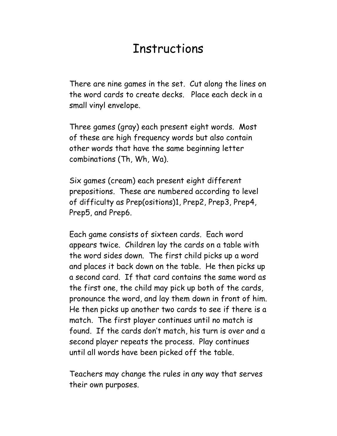#### **Instructions**

There are nine games in the set. Cut along the lines on the word cards to create decks. Place each deck in a small vinyl envelope.

Three games (gray) each present eight words. Most of these are high frequency words but also contain other words that have the same beginning letter combinations (Th, Wh, Wa).

Six games (cream) each present eight different prepositions. These are numbered according to level of difficulty as Prep(ositions)1, Prep2, Prep3, Prep4, Prep5, and Prep6.

Each game consists of sixteen cards. Each word appears twice. Children lay the cards on a table with the word sides down. The first child picks up a word and places it back down on the table. He then picks up a second card. If that card contains the same word as the first one, the child may pick up both of the cards, pronounce the word, and lay them down in front of him. He then picks up another two cards to see if there is a match. The first player continues until no match is found. If the cards donít match, his turn is over and a second player repeats the process. Play continues until all words have been picked off the table.

Teachers may change the rules in any way that serves their own purposes.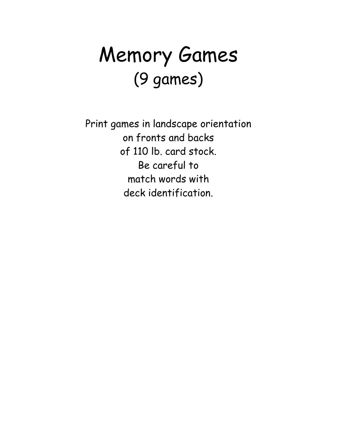### Memory Games (9 games)

Print games in landscape orientation on fronts and backs of 110 lb. card stock. Be careful to match words with deck identification.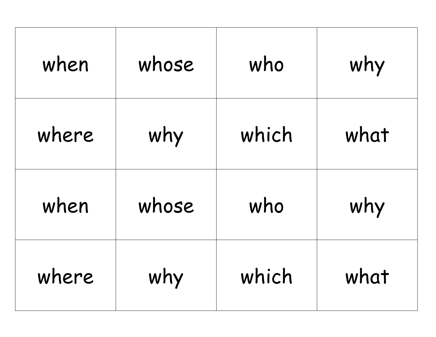| when  | whose | who   | why  |
|-------|-------|-------|------|
| where | why   | which | what |
| when  | whose | who   | why  |
| where | why   | which | what |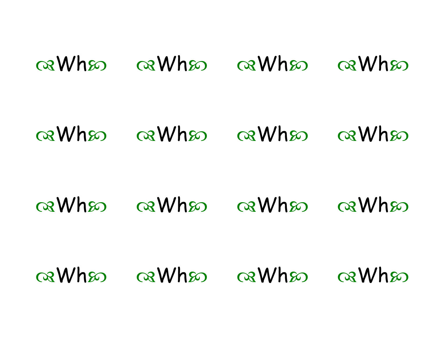### $\alpha$ When  $\alpha$ When  $\alpha$ When  $\alpha$ When

#### a Wha a Wha a Wha  $\alpha$ Whso

 $\alpha$ When  $\alpha$ When  $\alpha$ When  $\alpha$ When

 $\alpha$ When  $\alpha$ When  $\alpha$ When  $\alpha$ When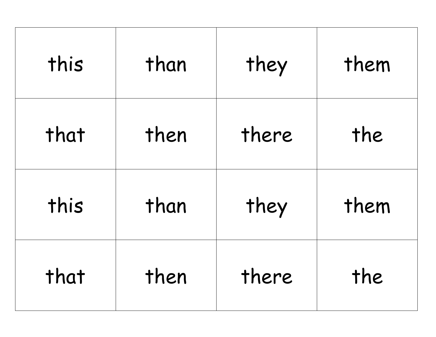| this | than | they  | them |
|------|------|-------|------|
| that | then | there | the  |
| this | than | they  | them |
| that | then | there | the  |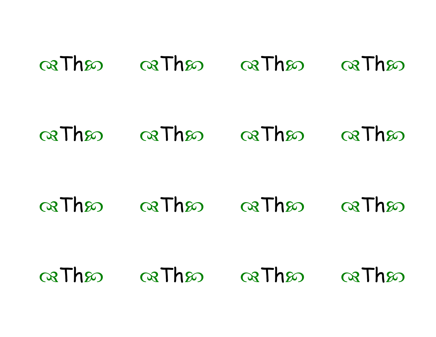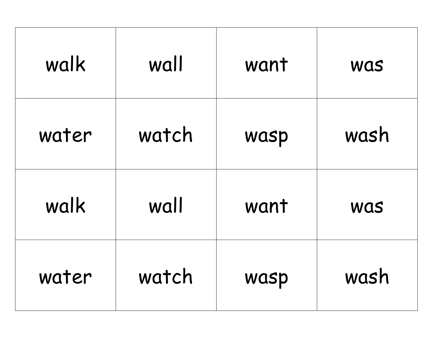| walk  | wall  | want | <b>Was</b> |
|-------|-------|------|------------|
| water | watch | wasp | wash       |
| walk  | wall  | want | <b>WAS</b> |
| water | watch | wasp | wash       |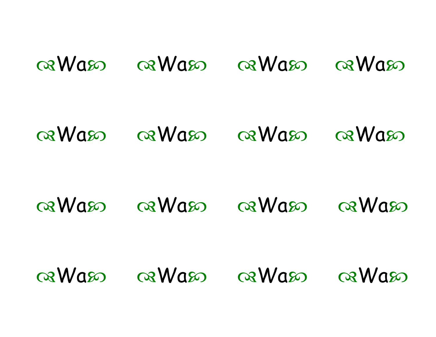### GRWASO GRWASO GRWASO GRWASO

#### $\alpha$ Was  $\alpha$ Was  $\alpha$ Was

 $\alpha$ Was  $\alpha$ Was  $\alpha$ Was  $\alpha$ Was

 $\alpha$ Was  $\alpha$ Was  $\alpha$ Was  $\alpha$ Was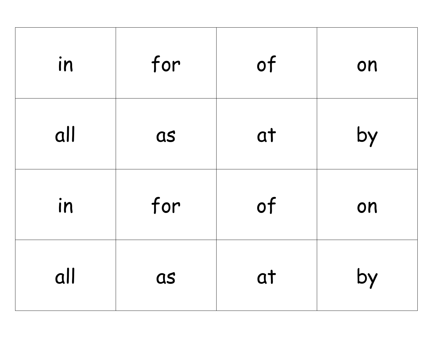| in  | for | of | on |
|-----|-----|----|----|
| all | as  | at | by |
| in  | for | of | on |
| all | as  | at | by |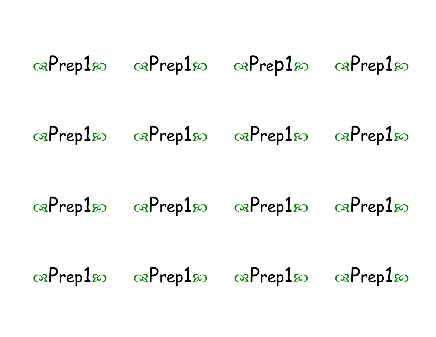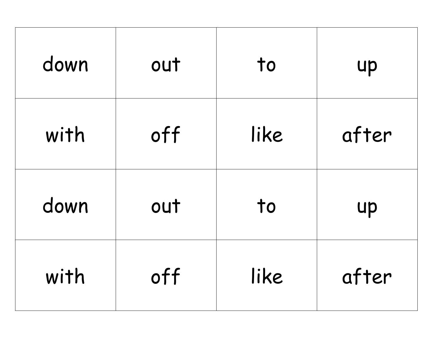| down | out | to   | up    |
|------|-----|------|-------|
| with | off | like | after |
| down | out | to   | up    |
| with | off | like | after |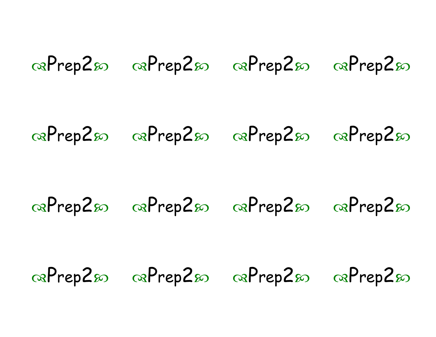# $\infty$   $\infty$   $\infty$   $\infty$   $\infty$   $\infty$   $\infty$   $\infty$   $\infty$   $\infty$  $\infty$  Prep2s  $\infty$   $\infty$ Prep2s  $\infty$  Prep2s  $\infty$  Prep2s  $\infty$   $\infty$ Prep2s  $\infty$  Prep2s  $\infty$  Prep2s  $\infty$   $\infty$ Prep2s  $\infty$  Prep2s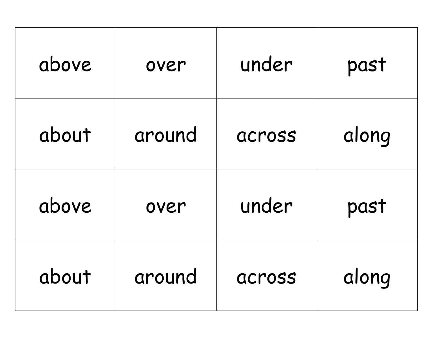| above | over   | under  | past  |
|-------|--------|--------|-------|
| about | around | across | along |
| above | over   | under  | past  |
| about | around | across | along |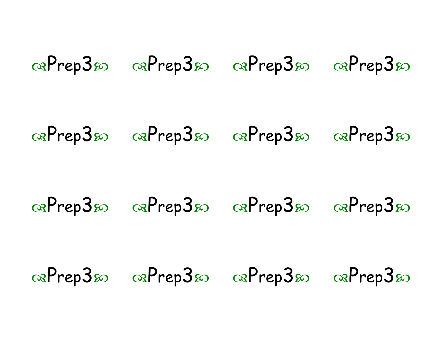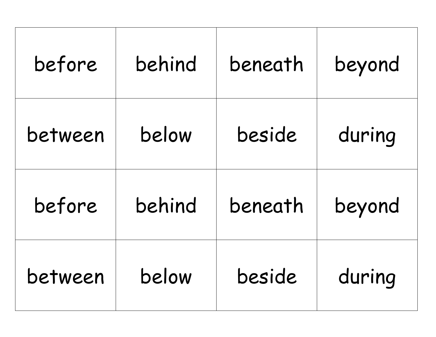| before  | behind | beneath | beyond |
|---------|--------|---------|--------|
| between | below  | beside  | during |
| before  | behind | beneath | beyond |
| between | below  | beside  | during |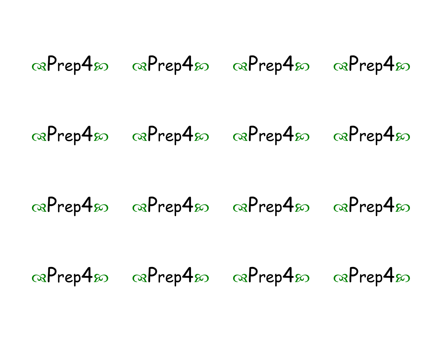# $\infty$  Prep4s  $\infty$  Prep4s  $\infty$  Prep4s  $\infty$  Prep4s  $\infty$   $\infty$ Prep4s  $\infty$  Prep4s  $\infty$  Prep4s  $\infty$   $\infty$ Prep4s  $\infty$  Prep4s  $\alpha$ Prep4 $\omega$   $\alpha$ Prep4 $\omega$   $\alpha$ Prep4 $\omega$   $\alpha$ Prep4 $\omega$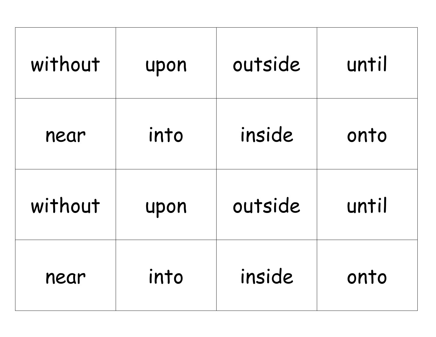| without | upon | outside | until |
|---------|------|---------|-------|
| near    | into | inside  | onto  |
| without | upon | outside | until |
| near    | into | inside  | onto  |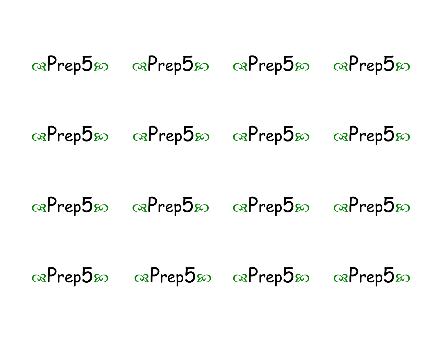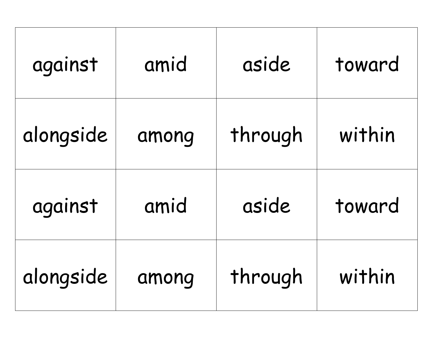| against   | amid  | aside   | toward |
|-----------|-------|---------|--------|
| alongside | among | through | within |
| against   | amid  | aside   | toward |
| alongside | among | through | within |